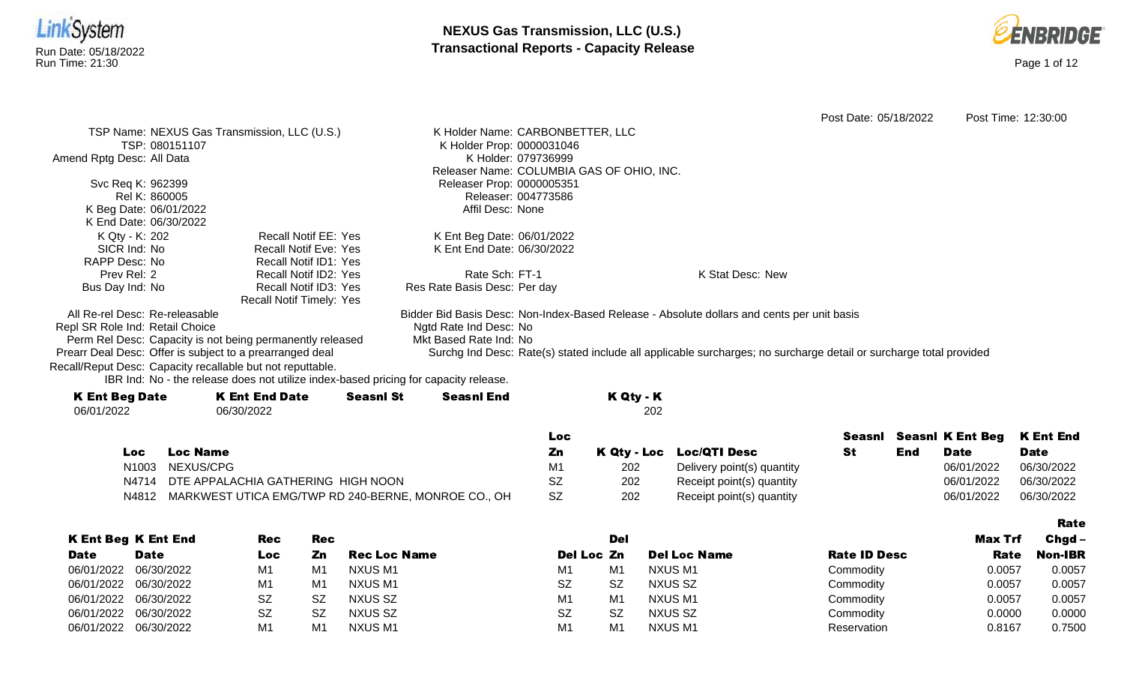



|                                 |                                                                                      |                  |                                  |                     |                                           |                                                                                                                    | Post Date: 05/18/2022 |     |                         | Post Time: 12:30:00 |
|---------------------------------|--------------------------------------------------------------------------------------|------------------|----------------------------------|---------------------|-------------------------------------------|--------------------------------------------------------------------------------------------------------------------|-----------------------|-----|-------------------------|---------------------|
|                                 | TSP Name: NEXUS Gas Transmission, LLC (U.S.)                                         |                  | K Holder Name: CARBONBETTER, LLC |                     |                                           |                                                                                                                    |                       |     |                         |                     |
| TSP: 080151107                  |                                                                                      |                  | K Holder Prop: 0000031046        |                     |                                           |                                                                                                                    |                       |     |                         |                     |
| Amend Rptg Desc: All Data       |                                                                                      |                  |                                  | K Holder: 079736999 |                                           |                                                                                                                    |                       |     |                         |                     |
|                                 |                                                                                      |                  |                                  |                     | Releaser Name: COLUMBIA GAS OF OHIO, INC. |                                                                                                                    |                       |     |                         |                     |
| Svc Req K: 962399               |                                                                                      |                  | Releaser Prop: 0000005351        |                     |                                           |                                                                                                                    |                       |     |                         |                     |
| Rel K: 860005                   |                                                                                      |                  |                                  | Releaser: 004773586 |                                           |                                                                                                                    |                       |     |                         |                     |
| K Beg Date: 06/01/2022          |                                                                                      |                  | Affil Desc: None                 |                     |                                           |                                                                                                                    |                       |     |                         |                     |
| K End Date: 06/30/2022          |                                                                                      |                  |                                  |                     |                                           |                                                                                                                    |                       |     |                         |                     |
| K Qty - K: 202                  | Recall Notif EE: Yes                                                                 |                  | K Ent Beg Date: 06/01/2022       |                     |                                           |                                                                                                                    |                       |     |                         |                     |
| SICR Ind: No                    | <b>Recall Notif Eve: Yes</b>                                                         |                  | K Ent End Date: 06/30/2022       |                     |                                           |                                                                                                                    |                       |     |                         |                     |
| RAPP Desc: No                   | Recall Notif ID1: Yes                                                                |                  |                                  |                     |                                           |                                                                                                                    |                       |     |                         |                     |
| Prev Rel: 2                     | Recall Notif ID2: Yes                                                                |                  | Rate Sch: FT-1                   |                     |                                           | K Stat Desc: New                                                                                                   |                       |     |                         |                     |
| Bus Day Ind: No                 | Recall Notif ID3: Yes                                                                |                  | Res Rate Basis Desc: Per day     |                     |                                           |                                                                                                                    |                       |     |                         |                     |
|                                 | Recall Notif Timely: Yes                                                             |                  |                                  |                     |                                           |                                                                                                                    |                       |     |                         |                     |
| All Re-rel Desc: Re-releasable  |                                                                                      |                  |                                  |                     |                                           | Bidder Bid Basis Desc: Non-Index-Based Release - Absolute dollars and cents per unit basis                         |                       |     |                         |                     |
| Repl SR Role Ind: Retail Choice |                                                                                      |                  | Ngtd Rate Ind Desc: No           |                     |                                           |                                                                                                                    |                       |     |                         |                     |
|                                 | Perm Rel Desc: Capacity is not being permanently released                            |                  | Mkt Based Rate Ind: No           |                     |                                           |                                                                                                                    |                       |     |                         |                     |
|                                 | Prearr Deal Desc: Offer is subject to a prearranged deal                             |                  |                                  |                     |                                           | Surchg Ind Desc: Rate(s) stated include all applicable surcharges; no surcharge detail or surcharge total provided |                       |     |                         |                     |
|                                 | Recall/Reput Desc: Capacity recallable but not reputtable.                           |                  |                                  |                     |                                           |                                                                                                                    |                       |     |                         |                     |
|                                 | IBR Ind: No - the release does not utilize index-based pricing for capacity release. |                  |                                  |                     |                                           |                                                                                                                    |                       |     |                         |                     |
| <b>K Ent Beg Date</b>           | <b>K Ent End Date</b>                                                                | <b>Seasnl St</b> | <b>Seasnl End</b>                |                     | K Qty - K                                 |                                                                                                                    |                       |     |                         |                     |
| 06/01/2022                      | 06/30/2022                                                                           |                  |                                  |                     | 202                                       |                                                                                                                    |                       |     |                         |                     |
|                                 |                                                                                      |                  |                                  |                     |                                           |                                                                                                                    |                       |     |                         |                     |
|                                 |                                                                                      |                  |                                  | <b>Loc</b>          |                                           |                                                                                                                    | Seasnl                |     | <b>Seasnl K Ent Beg</b> | <b>K</b> Ent End    |
| Loc                             | <b>Loc Name</b>                                                                      |                  |                                  | Zn                  | K Qty - Loc                               | <b>Loc/QTI Desc</b>                                                                                                | St                    | End | <b>Date</b>             | <b>Date</b>         |
| N <sub>1003</sub>               | NEXUS/CPG                                                                            |                  |                                  | M1                  | 202                                       | Delivery point(s) quantity                                                                                         |                       |     | 06/01/2022              | 06/30/2022          |

N4714 DTE APPALACHIA GATHERING HIGH NOON SZ 202 Receipt point(s) quantity 06/01/2022 06/30/2022

N4812 MARKWEST UTICA EMG/TWP RD 240-BERNE, MONROE CO., OH SZ 202 Receipt point(s) quantity 06/01/2022 06/30/2022 06/30/2022

|                       |                            |           |                |                     |                |                |                     |                     |         | Rate           |
|-----------------------|----------------------------|-----------|----------------|---------------------|----------------|----------------|---------------------|---------------------|---------|----------------|
|                       | <b>K Ent Beg K Ent End</b> | Rec       | <b>Rec</b>     |                     |                | Del            |                     |                     | Max Trf | Chgd -         |
| <b>Date</b>           | <b>Date</b>                | Loc       | Zn             | <b>Rec Loc Name</b> | Del Loc Zn     |                | <b>Del Loc Name</b> | <b>Rate ID Desc</b> | Rate    | <b>Non-IBR</b> |
| 06/01/2022 06/30/2022 |                            | M1        | M1             | NXUS M1             | M <sub>1</sub> | M <sub>1</sub> | NXUS M1             | Commodity           | 0.0057  | 0.0057         |
| 06/01/2022 06/30/2022 |                            | M1        | M <sub>1</sub> | NXUS M1             | <b>SZ</b>      | <b>SZ</b>      | NXUS SZ             | Commodity           | 0.0057  | 0.0057         |
| 06/01/2022 06/30/2022 |                            | <b>SZ</b> | SZ             | NXUS SZ             | M <sub>1</sub> | M <sub>1</sub> | NXUS M1             | Commodity           | 0.0057  | 0.0057         |
| 06/01/2022 06/30/2022 |                            | <b>SZ</b> | -SZ            | NXUS SZ             | <b>SZ</b>      | <b>SZ</b>      | NXUS SZ             | Commodity           | 0.0000  | 0.0000         |
| 06/01/2022 06/30/2022 |                            | M1        | M1             | NXUS M1             | M <sub>1</sub> | M <sub>1</sub> | NXUS M1             | Reservation         | 0.8167  | 0.7500         |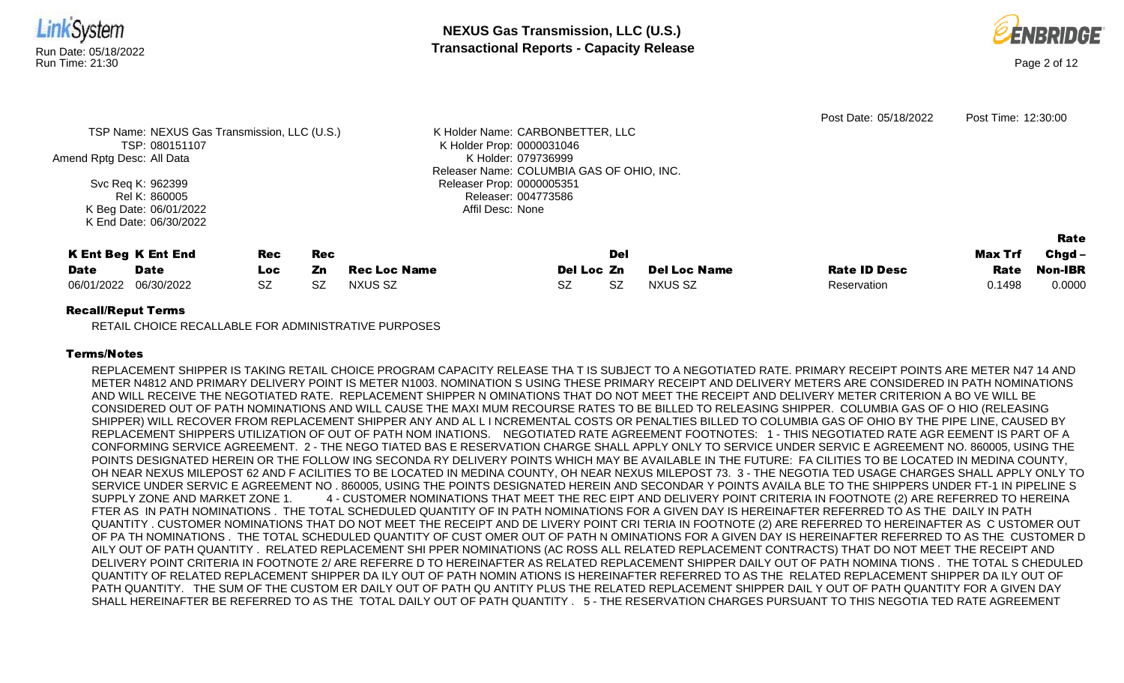



| Amend Rptg Desc: All Data                               | TSP Name: NEXUS Gas Transmission, LLC (U.S.)<br>TSP: 080151107<br>Svc Req K: 962399<br>Rel K: 860005<br>K Beg Date: 06/01/2022 |                          |                         |                                | K Holder Name: CARBONBETTER, LLC<br>K Holder Prop: 0000031046<br>K Holder: 079736999<br>Releaser Name: COLUMBIA GAS OF OHIO, INC.<br>Releaser Prop: 0000005351<br>Releaser: 004773586<br>Affil Desc: None |                  |                                       | Post Date: 05/18/2022              | Post Time: 12:30:00       |                               |      |
|---------------------------------------------------------|--------------------------------------------------------------------------------------------------------------------------------|--------------------------|-------------------------|--------------------------------|-----------------------------------------------------------------------------------------------------------------------------------------------------------------------------------------------------------|------------------|---------------------------------------|------------------------------------|---------------------------|-------------------------------|------|
| <b>K Ent Beg K Ent End</b><br><b>Date</b><br>06/01/2022 | <b>Date</b><br>06/30/2022                                                                                                      | Rec<br>Loc.<br><b>SZ</b> | <b>Rec</b><br>Zn<br>SZ. | <b>Rec Loc Name</b><br>NXUS SZ | Del Loc Zn<br><b>SZ</b>                                                                                                                                                                                   | Del<br><b>SZ</b> | <b>Del Loc Name</b><br><b>NXUS SZ</b> | <b>Rate ID Desc</b><br>Reservation | Max Trf<br>Rate<br>0.1498 | $Chgd -$<br>Non-IBR<br>0.0000 |      |
| $D = -11/D = 0.14$                                      | K End Date: 06/30/2022                                                                                                         |                          |                         |                                |                                                                                                                                                                                                           |                  |                                       |                                    |                           |                               | Rate |

## Recall/Reput Terms

RETAIL CHOICE RECALLABLE FOR ADMINISTRATIVE PURPOSES

# Terms/Notes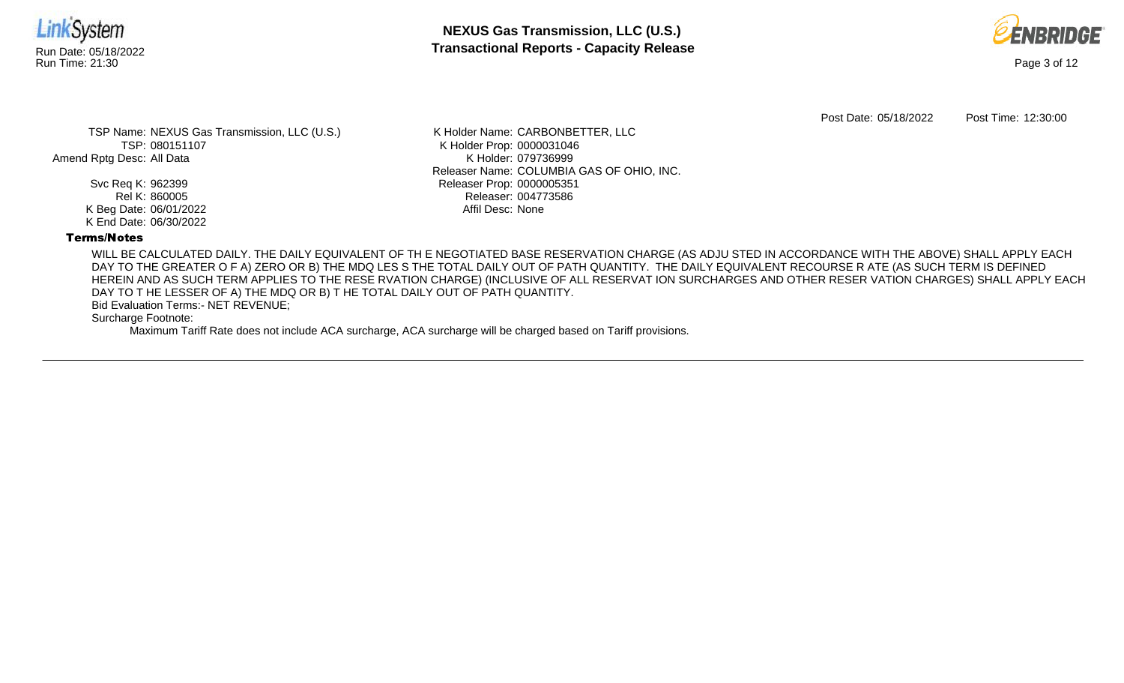



Post Date: 05/18/2022 Post Time: 12:30:00

TSP Name: NEXUS Gas Transmission, LLC (U.S.) TSP: 080151107 Amend Rptg Desc: All Data

> Svc Req K: 962399 Rel K: 860005 K Beg Date: 06/01/2022 K End Date: 06/30/2022

K Holder Name: CARBONBETTER, LLC K Holder Prop: 0000031046 K Holder: 079736999 Releaser Name: COLUMBIA GAS OF OHIO, INC. Releaser Prop: 0000005351 Releaser: 004773586 Affil Desc: None

# Terms/Notes

WILL BE CALCULATED DAILY. THE DAILY EQUIVALENT OF TH E NEGOTIATED BASE RESERVATION CHARGE (AS ADJU STED IN ACCORDANCE WITH THE ABOVE) SHALL APPLY EACH DAY TO THE GREATER O F A) ZERO OR B) THE MDQ LES S THE TOTAL DAILY OUT OF PATH QUANTITY. THE DAILY EQUIVALENT RECOURSE R ATE (AS SUCH TERM IS DEFINED HEREIN AND AS SUCH TERM APPLIES TO THE RESE RVATION CHARGE) (INCLUSIVE OF ALL RESERVAT ION SURCHARGES AND OTHER RESER VATION CHARGES) SHALL APPLY EACH DAY TO T HE LESSER OF A) THE MDQ OR B) T HE TOTAL DAILY OUT OF PATH QUANTITY.

Bid Evaluation Terms:- NET REVENUE;

Surcharge Footnote: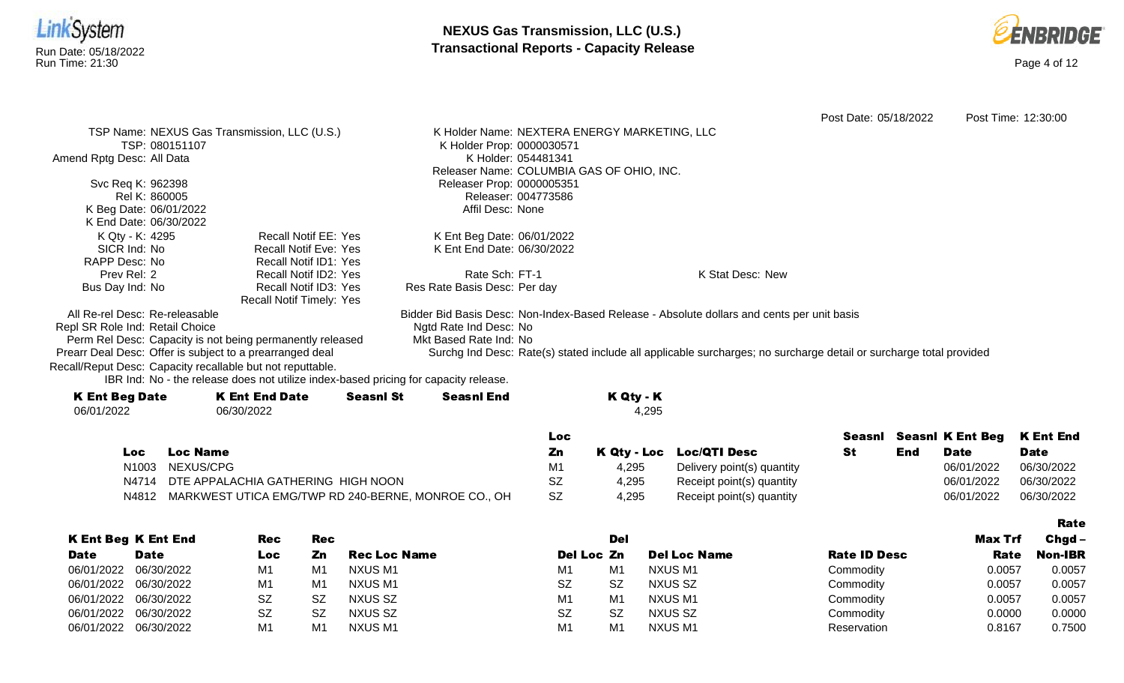



|                                                            |                             |                              |                                                                                                                    |                  | Post Date: 05/18/2022 | Post Time: 12:30:00 |
|------------------------------------------------------------|-----------------------------|------------------------------|--------------------------------------------------------------------------------------------------------------------|------------------|-----------------------|---------------------|
| TSP Name: NEXUS Gas Transmission, LLC (U.S.)               |                             |                              | K Holder Name: NEXTERA ENERGY MARKETING, LLC                                                                       |                  |                       |                     |
| TSP: 080151107                                             |                             | K Holder Prop: 0000030571    |                                                                                                                    |                  |                       |                     |
| Amend Rptg Desc: All Data                                  |                             |                              | K Holder: 054481341                                                                                                |                  |                       |                     |
|                                                            |                             |                              | Releaser Name: COLUMBIA GAS OF OHIO, INC.                                                                          |                  |                       |                     |
| Svc Req K: 962398                                          |                             | Releaser Prop: 0000005351    |                                                                                                                    |                  |                       |                     |
| Rel K: 860005                                              |                             |                              | Releaser: 004773586                                                                                                |                  |                       |                     |
| K Beg Date: 06/01/2022                                     |                             | Affil Desc: None             |                                                                                                                    |                  |                       |                     |
| K End Date: 06/30/2022                                     |                             |                              |                                                                                                                    |                  |                       |                     |
| K Qty - K: 4295                                            | <b>Recall Notif EE: Yes</b> | K Ent Beg Date: 06/01/2022   |                                                                                                                    |                  |                       |                     |
| SICR Ind: No                                               | Recall Notif Eve: Yes       | K Ent End Date: 06/30/2022   |                                                                                                                    |                  |                       |                     |
| RAPP Desc: No                                              | Recall Notif ID1: Yes       |                              |                                                                                                                    |                  |                       |                     |
| Prev Rel: 2                                                | Recall Notif ID2: Yes       | Rate Sch: FT-1               |                                                                                                                    | K Stat Desc: New |                       |                     |
| Bus Day Ind: No                                            | Recall Notif ID3: Yes       | Res Rate Basis Desc: Per day |                                                                                                                    |                  |                       |                     |
|                                                            | Recall Notif Timely: Yes    |                              |                                                                                                                    |                  |                       |                     |
| All Re-rel Desc: Re-releasable                             |                             |                              | Bidder Bid Basis Desc: Non-Index-Based Release - Absolute dollars and cents per unit basis                         |                  |                       |                     |
| Repl SR Role Ind: Retail Choice                            |                             | Ngtd Rate Ind Desc: No       |                                                                                                                    |                  |                       |                     |
| Perm Rel Desc: Capacity is not being permanently released  |                             | Mkt Based Rate Ind: No       |                                                                                                                    |                  |                       |                     |
| Prearr Deal Desc: Offer is subject to a prearranged deal   |                             |                              | Surchg Ind Desc: Rate(s) stated include all applicable surcharges; no surcharge detail or surcharge total provided |                  |                       |                     |
| Recall/Reput Desc: Capacity recallable but not reputtable. |                             |                              |                                                                                                                    |                  |                       |                     |
|                                                            |                             |                              |                                                                                                                    |                  |                       |                     |

IBR Ind: No - the release does not utilize index-based pricing for capacity release.

| <b>K Ent Beg Date</b> | <b>K Ent End Date</b> | <b>Seasnl St</b> | <b>Seasnl End</b> | K Qty - K |
|-----------------------|-----------------------|------------------|-------------------|-----------|
| 06/01/2022            | 06/30/2022            |                  |                   | 4.295     |
|                       |                       |                  |                   |           |

|     |                                                           | LOC. |       |                            |     | Seasnl Seasnl K Ent Beg K Ent End |             |
|-----|-----------------------------------------------------------|------|-------|----------------------------|-----|-----------------------------------|-------------|
| Loc | Loc Name                                                  | Ζn   |       | K Qty - Loc Loc/QTI Desc   | End | <b>Date</b>                       | <b>Date</b> |
|     | N1003 NEXUS/CPG                                           |      | 4.295 | Delivery point(s) quantity |     | 06/01/2022                        | 06/30/2022  |
|     | N4714 DTE APPALACHIA GATHERING HIGH NOON                  | SZ   | 4.295 | Receipt point(s) quantity  |     | 06/01/2022                        | 06/30/2022  |
|     | N4812 MARKWEST UTICA EMG/TWP RD 240-BERNE, MONROE CO., OH | SZ.  | 4.295 | Receipt point(s) quantity  |     | 06/01/2022                        | 06/30/2022  |

|             |                            |            |            |                     |                |                |                     |                     |         | <b>Rate</b>    |
|-------------|----------------------------|------------|------------|---------------------|----------------|----------------|---------------------|---------------------|---------|----------------|
|             | <b>K Ent Beg K Ent End</b> | <b>Rec</b> | <b>Rec</b> |                     |                | Del            |                     |                     | Max Trf | $Chgd -$       |
| <b>Date</b> | <b>Date</b>                | Loc        | Zn         | <b>Rec Loc Name</b> | Del Loc Zn     |                | <b>Del Loc Name</b> | <b>Rate ID Desc</b> | Rate    | <b>Non-IBR</b> |
| 06/01/2022  | 06/30/2022                 | M1         | M1         | NXUS M1             | M1             | M <sub>1</sub> | NXUS M1             | Commodity           | 0.0057  | 0.0057         |
| 06/01/2022  | 06/30/2022                 | M1         | M1         | NXUS M1             | <b>SZ</b>      | <b>SZ</b>      | NXUS SZ             | Commodity           | 0.0057  | 0.0057         |
| 06/01/2022  | 06/30/2022                 | <b>SZ</b>  | SZ         | NXUS SZ             | M <sub>1</sub> | M <sub>1</sub> | NXUS M1             | Commodity           | 0.0057  | 0.0057         |
| 06/01/2022  | 06/30/2022                 | <b>SZ</b>  | -SZ        | NXUS SZ             | <b>SZ</b>      | <b>SZ</b>      | NXUS SZ             | Commodity           | 0.0000  | 0.0000         |
| 06/01/2022  | 06/30/2022                 | M1         | M1         | NXUS M1             | M1             | M <sub>1</sub> | NXUS M1             | Reservation         | 0.8167  | 0.7500         |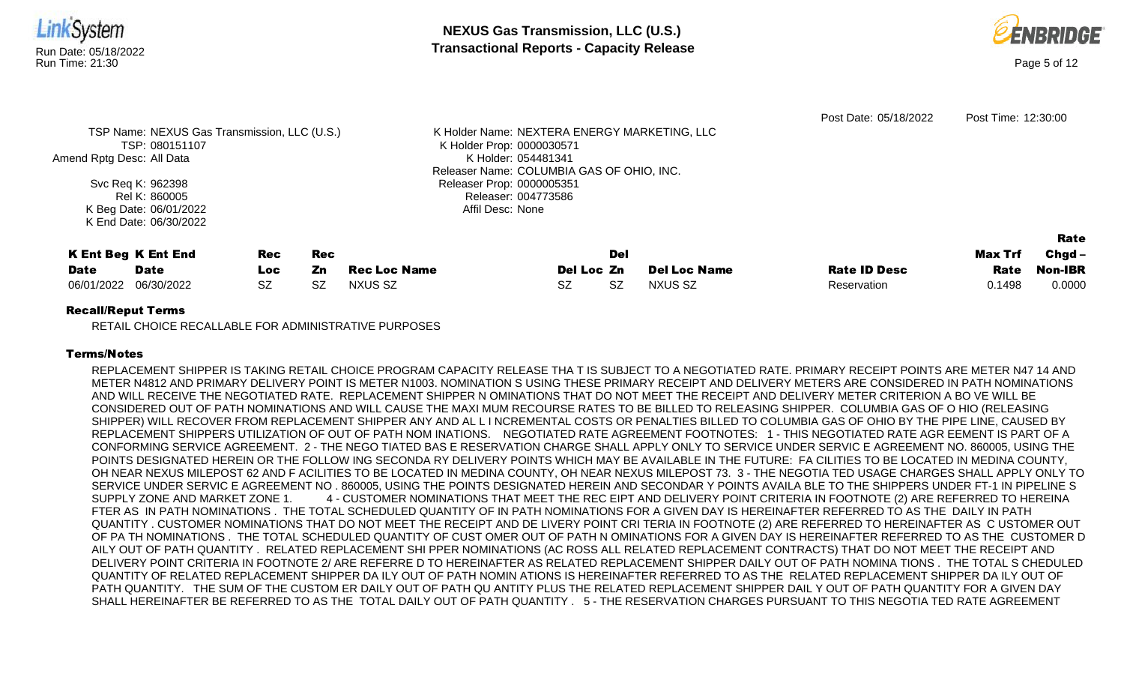

#### Recall/Reput Terms

RETAIL CHOICE RECALLABLE FOR ADMINISTRATIVE PURPOSES

## Terms/Notes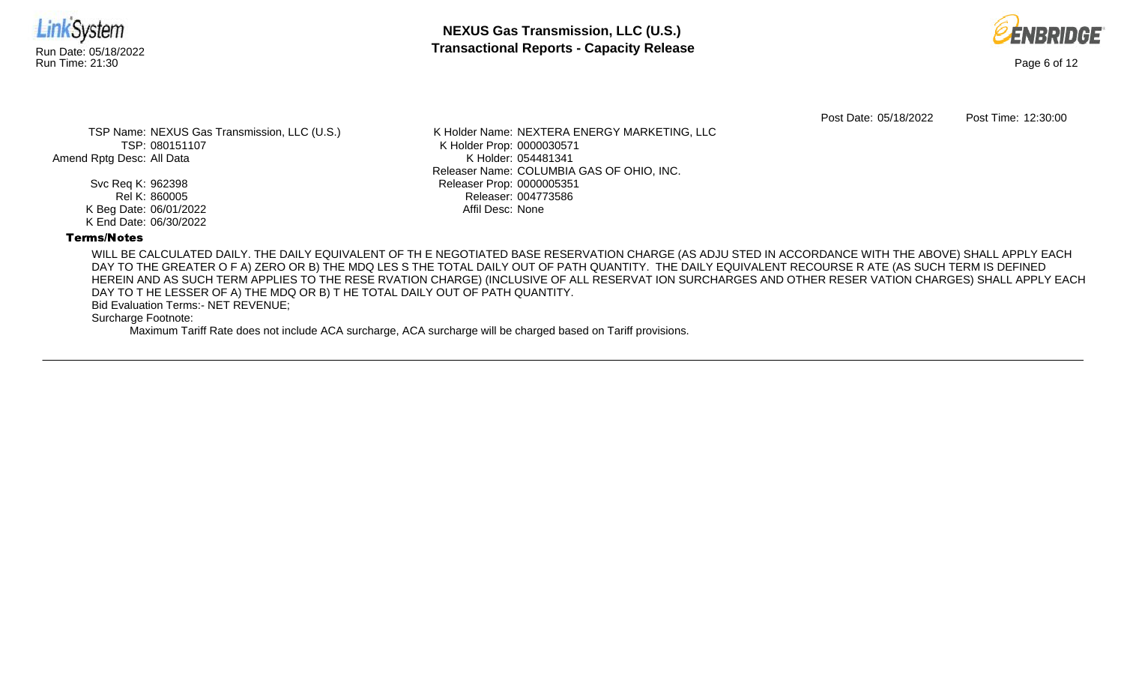



Post Date: 05/18/2022 Post Time: 12:30:00

TSP Name: NEXUS Gas Transmission, LLC (U.S.) TSP: 080151107 Amend Rptg Desc: All Data

> Svc Req K: 962398 Rel K: 860005 K Beg Date: 06/01/2022 K End Date: 06/30/2022

K Holder Name: NEXTERA ENERGY MARKETING, LLC K Holder Prop: 0000030571 K Holder: 054481341 Releaser Name: COLUMBIA GAS OF OHIO, INC. Releaser Prop: 0000005351 Releaser: 004773586 Affil Desc: None

# Terms/Notes

WILL BE CALCULATED DAILY. THE DAILY EQUIVALENT OF TH E NEGOTIATED BASE RESERVATION CHARGE (AS ADJU STED IN ACCORDANCE WITH THE ABOVE) SHALL APPLY EACH DAY TO THE GREATER O F A) ZERO OR B) THE MDQ LES S THE TOTAL DAILY OUT OF PATH QUANTITY. THE DAILY EQUIVALENT RECOURSE R ATE (AS SUCH TERM IS DEFINED HEREIN AND AS SUCH TERM APPLIES TO THE RESE RVATION CHARGE) (INCLUSIVE OF ALL RESERVAT ION SURCHARGES AND OTHER RESER VATION CHARGES) SHALL APPLY EACH DAY TO T HE LESSER OF A) THE MDQ OR B) T HE TOTAL DAILY OUT OF PATH QUANTITY.

Bid Evaluation Terms:- NET REVENUE;

Surcharge Footnote: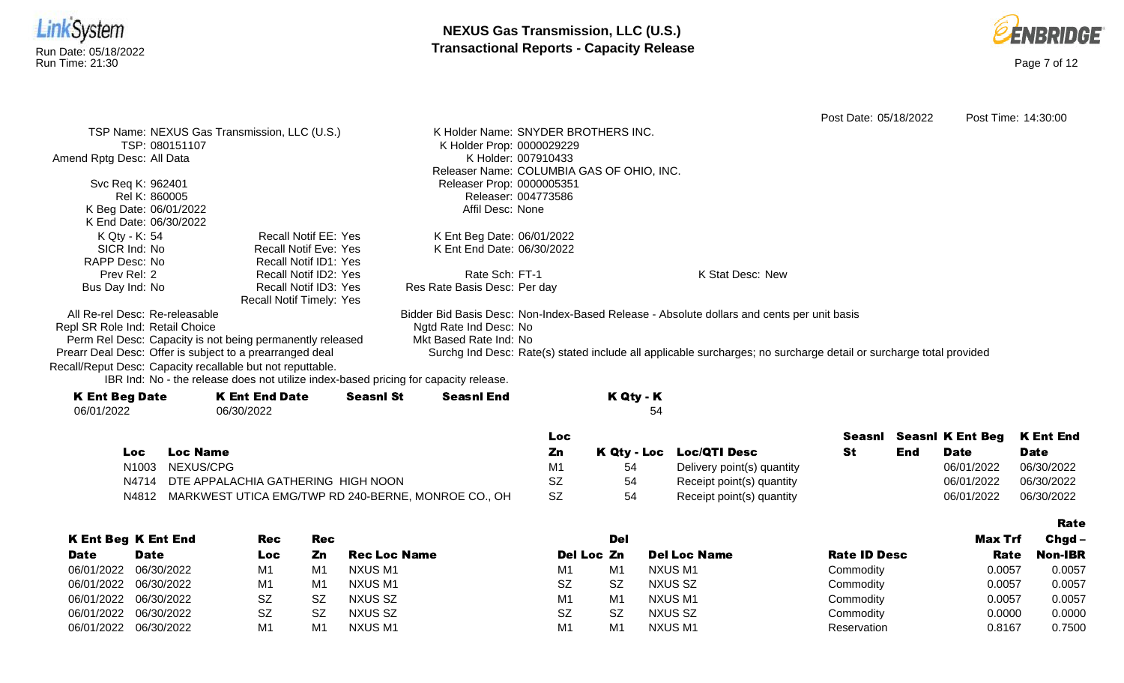



|                                 |                 |                                                                                      |                  |                                     |                     |                                           |                                                                                                                    | Post Date: 05/18/2022 |     |                         | Post Time: 14:30:00 |
|---------------------------------|-----------------|--------------------------------------------------------------------------------------|------------------|-------------------------------------|---------------------|-------------------------------------------|--------------------------------------------------------------------------------------------------------------------|-----------------------|-----|-------------------------|---------------------|
|                                 |                 | TSP Name: NEXUS Gas Transmission, LLC (U.S.)                                         |                  | K Holder Name: SNYDER BROTHERS INC. |                     |                                           |                                                                                                                    |                       |     |                         |                     |
|                                 | TSP: 080151107  |                                                                                      |                  | K Holder Prop: 0000029229           |                     |                                           |                                                                                                                    |                       |     |                         |                     |
| Amend Rptg Desc: All Data       |                 |                                                                                      |                  |                                     | K Holder: 007910433 |                                           |                                                                                                                    |                       |     |                         |                     |
|                                 |                 |                                                                                      |                  |                                     |                     | Releaser Name: COLUMBIA GAS OF OHIO, INC. |                                                                                                                    |                       |     |                         |                     |
| Svc Req K: 962401               |                 |                                                                                      |                  | Releaser Prop: 0000005351           |                     |                                           |                                                                                                                    |                       |     |                         |                     |
|                                 | Rel K: 860005   |                                                                                      |                  |                                     | Releaser: 004773586 |                                           |                                                                                                                    |                       |     |                         |                     |
| K Beg Date: 06/01/2022          |                 |                                                                                      |                  | Affil Desc: None                    |                     |                                           |                                                                                                                    |                       |     |                         |                     |
| K End Date: 06/30/2022          |                 |                                                                                      |                  |                                     |                     |                                           |                                                                                                                    |                       |     |                         |                     |
| K Qty - K: 54                   |                 | <b>Recall Notif EE: Yes</b>                                                          |                  | K Ent Beg Date: 06/01/2022          |                     |                                           |                                                                                                                    |                       |     |                         |                     |
| SICR Ind: No                    |                 | <b>Recall Notif Eve: Yes</b>                                                         |                  | K Ent End Date: 06/30/2022          |                     |                                           |                                                                                                                    |                       |     |                         |                     |
| RAPP Desc: No                   |                 | Recall Notif ID1: Yes                                                                |                  |                                     |                     |                                           |                                                                                                                    |                       |     |                         |                     |
| Prev Rel: 2                     |                 | Recall Notif ID2: Yes                                                                |                  | Rate Sch: FT-1                      |                     |                                           | K Stat Desc: New                                                                                                   |                       |     |                         |                     |
| Bus Day Ind: No                 |                 | Recall Notif ID3: Yes                                                                |                  | Res Rate Basis Desc: Per day        |                     |                                           |                                                                                                                    |                       |     |                         |                     |
|                                 |                 | <b>Recall Notif Timely: Yes</b>                                                      |                  |                                     |                     |                                           |                                                                                                                    |                       |     |                         |                     |
| All Re-rel Desc: Re-releasable  |                 |                                                                                      |                  |                                     |                     |                                           | Bidder Bid Basis Desc: Non-Index-Based Release - Absolute dollars and cents per unit basis                         |                       |     |                         |                     |
| Repl SR Role Ind: Retail Choice |                 |                                                                                      |                  | Ngtd Rate Ind Desc: No              |                     |                                           |                                                                                                                    |                       |     |                         |                     |
|                                 |                 | Perm Rel Desc: Capacity is not being permanently released                            |                  | Mkt Based Rate Ind: No              |                     |                                           |                                                                                                                    |                       |     |                         |                     |
|                                 |                 | Prearr Deal Desc: Offer is subject to a prearranged deal                             |                  |                                     |                     |                                           | Surchg Ind Desc: Rate(s) stated include all applicable surcharges; no surcharge detail or surcharge total provided |                       |     |                         |                     |
|                                 |                 | Recall/Reput Desc: Capacity recallable but not reputtable.                           |                  |                                     |                     |                                           |                                                                                                                    |                       |     |                         |                     |
|                                 |                 | IBR Ind: No - the release does not utilize index-based pricing for capacity release. |                  |                                     |                     |                                           |                                                                                                                    |                       |     |                         |                     |
| <b>K Ent Beg Date</b>           |                 | <b>K Ent End Date</b>                                                                | <b>Seasnl St</b> | <b>Seasnl End</b>                   |                     | K Qty - K                                 |                                                                                                                    |                       |     |                         |                     |
| 06/01/2022                      |                 | 06/30/2022                                                                           |                  |                                     |                     | 54                                        |                                                                                                                    |                       |     |                         |                     |
|                                 |                 |                                                                                      |                  |                                     |                     |                                           |                                                                                                                    |                       |     |                         |                     |
|                                 |                 |                                                                                      |                  |                                     | Loc:                |                                           |                                                                                                                    | Seasnl                |     | <b>Seasnl K Ent Beg</b> | <b>K Ent End</b>    |
| Loc                             | <b>Loc Name</b> |                                                                                      |                  |                                     | Zn                  |                                           | K Qty - Loc Loc/QTI Desc                                                                                           | <b>St</b>             | End | <b>Date</b>             | <b>Date</b>         |

N1003 NEXUS/CPG **M1** 54 Delivery point(s) quantity 06/01/2022 06/30/2022 N4714 DTE APPALACHIA GATHERING HIGH NOON SZ 54 Receipt point(s) quantity 66/01/2022 06/30/2022

N4812 MARKWEST UTICA EMG/TWP RD 240-BERNE, MONROE CO., OH SZ 54 Receipt point(s) quantity 66/01/2022 06/01/2022 06/30/2022

|                       |                            |           |                |                     |            |            |                     |                     |         | Rate           |
|-----------------------|----------------------------|-----------|----------------|---------------------|------------|------------|---------------------|---------------------|---------|----------------|
|                       | <b>K Ent Beg K Ent End</b> | Rec       | <b>Rec</b>     |                     |            | <b>Del</b> |                     |                     | Max Trf | $Chgd -$       |
| <b>Date</b>           | <b>Date</b>                | Loc       | Zn             | <b>Rec Loc Name</b> | Del Loc Zn |            | <b>Del Loc Name</b> | <b>Rate ID Desc</b> | Rate    | <b>Non-IBR</b> |
| 06/01/2022 06/30/2022 |                            | M1        | M1             | NXUS M1             | M1         | M1         | NXUS M1             | Commodity           | 0.0057  | 0.0057         |
| 06/01/2022 06/30/2022 |                            | M1        | M <sub>1</sub> | NXUS M1             | <b>SZ</b>  | SZ         | NXUS SZ             | Commodity           | 0.0057  | 0.0057         |
| 06/01/2022 06/30/2022 |                            | <b>SZ</b> | <b>SZ</b>      | NXUS SZ             | M1         | M1         | NXUS M1             | Commodity           | 0.0057  | 0.0057         |
|                       | 06/01/2022 06/30/2022      | <b>SZ</b> | .SZ            | NXUS SZ             | <b>SZ</b>  | <b>SZ</b>  | NXUS SZ             | Commodity           | 0.000C  | 0.0000         |
|                       | 06/01/2022 06/30/2022      | M1        | M1             | NXUS M1             | M1         | M1         | NXUS M1             | Reservation         | 0.8167  | 0.7500         |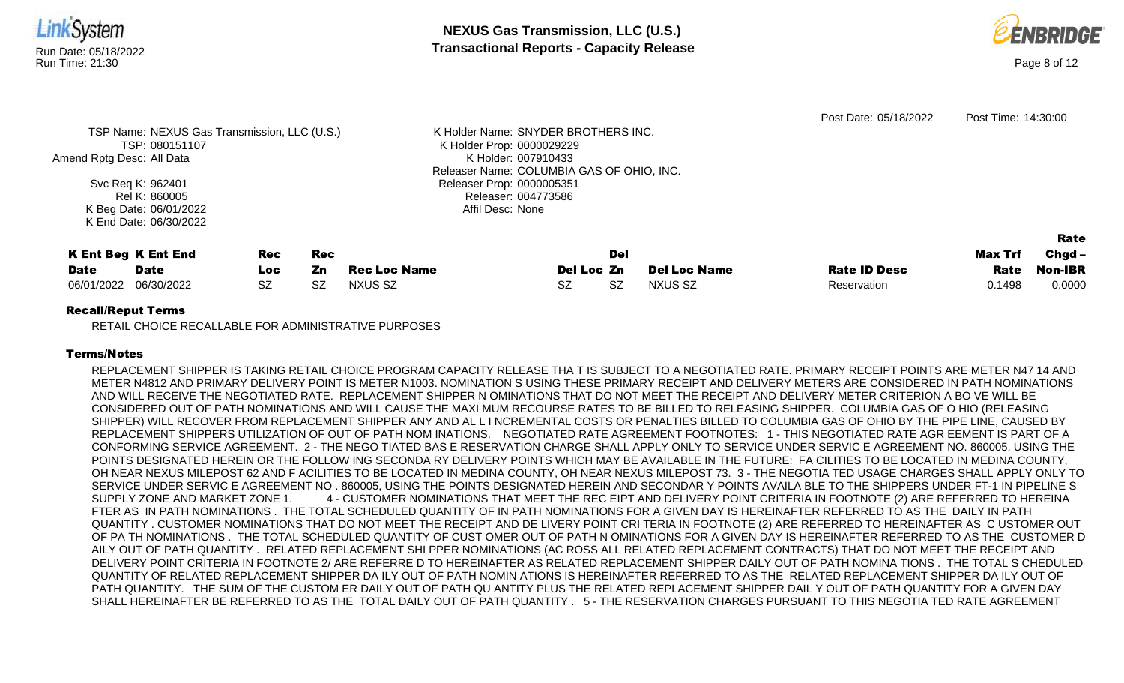

|                       |                            |            |     |              |            |     |                     |                     |                | Rate           |
|-----------------------|----------------------------|------------|-----|--------------|------------|-----|---------------------|---------------------|----------------|----------------|
|                       | <b>K Ent Beg K Ent End</b> | <b>Rec</b> | Rec |              |            | Del |                     |                     | <b>Max Trf</b> | Chgd –         |
| <b>Date</b>           | Date                       | Loc:       | Zn  | Rec Loc Name | Del Loc Zn |     | <b>Del Loc Name</b> | <b>Rate ID Desc</b> | Rate           | <b>Non-IBR</b> |
| 06/01/2022 06/30/2022 |                            | <b>SZ</b>  | SZ  | NXUS SZ      |            | SZ  | NXUS SZ             | Reservation         | 0.1498         | 0.0000         |

Affil Desc: None

## Recall/Reput Terms

K Beg Date: 06/01/2022 K End Date: 06/30/2022

RETAIL CHOICE RECALLABLE FOR ADMINISTRATIVE PURPOSES

## Terms/Notes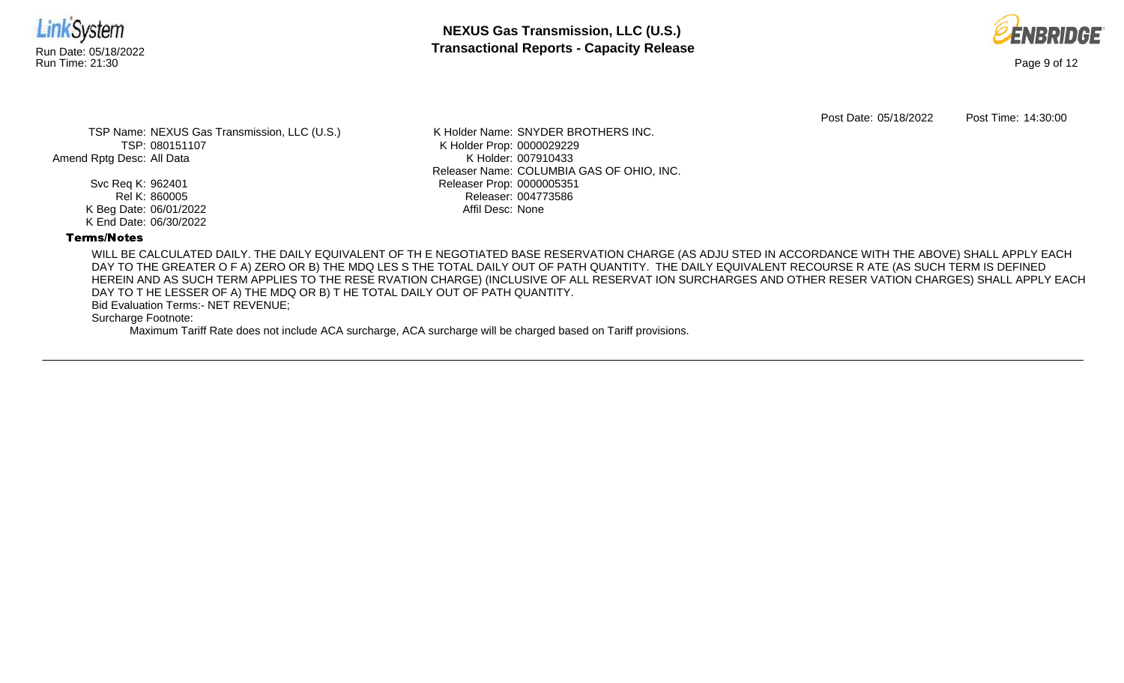



Post Date: 05/18/2022 Post Time: 14:30:00

TSP Name: NEXUS Gas Transmission, LLC (U.S.) TSP: 080151107 Amend Rptg Desc: All Data

> Svc Req K: 962401 Rel K: 860005 K Beg Date: 06/01/2022 K End Date: 06/30/2022

K Holder Name: SNYDER BROTHERS INC. K Holder Prop: 0000029229 K Holder: 007910433 Releaser Name: COLUMBIA GAS OF OHIO, INC. Releaser Prop: 0000005351 Releaser: 004773586 Affil Desc: None

## Terms/Notes

WILL BE CALCULATED DAILY. THE DAILY EQUIVALENT OF TH E NEGOTIATED BASE RESERVATION CHARGE (AS ADJU STED IN ACCORDANCE WITH THE ABOVE) SHALL APPLY EACH DAY TO THE GREATER O F A) ZERO OR B) THE MDQ LES S THE TOTAL DAILY OUT OF PATH QUANTITY. THE DAILY EQUIVALENT RECOURSE R ATE (AS SUCH TERM IS DEFINED HEREIN AND AS SUCH TERM APPLIES TO THE RESE RVATION CHARGE) (INCLUSIVE OF ALL RESERVAT ION SURCHARGES AND OTHER RESER VATION CHARGES) SHALL APPLY EACH DAY TO T HE LESSER OF A) THE MDQ OR B) T HE TOTAL DAILY OUT OF PATH QUANTITY.

Bid Evaluation Terms:- NET REVENUE;

Surcharge Footnote: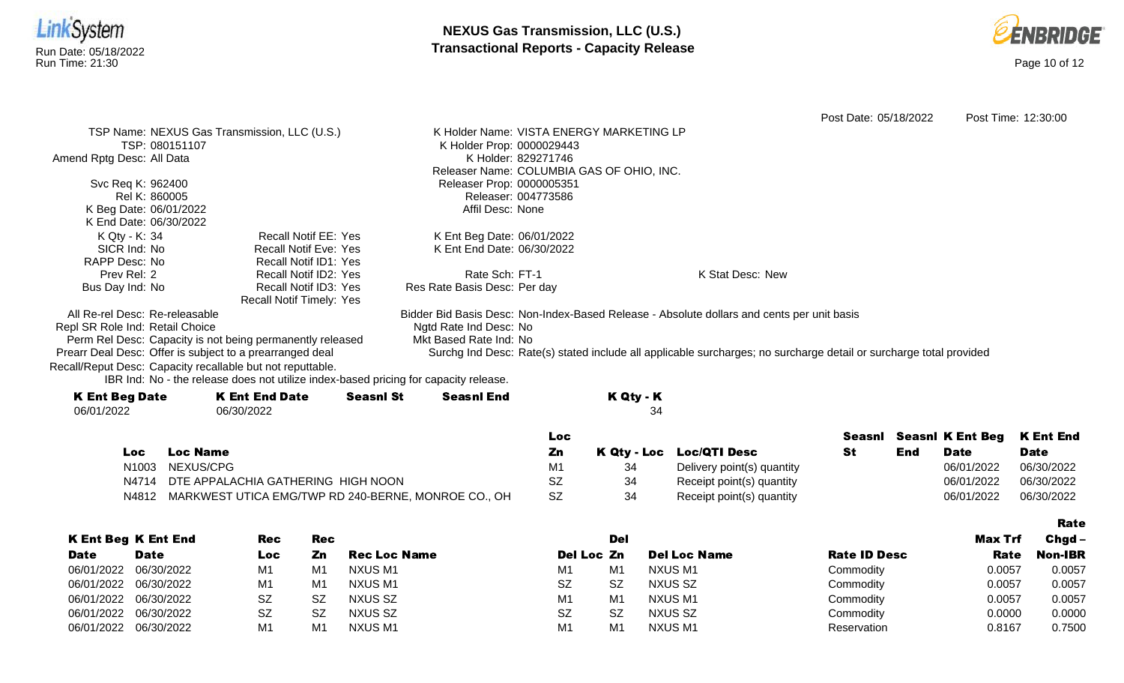



Rate

Post Date: 05/18/2022 Post Time: 12:30:00 TSP Name: NEXUS Gas Transmission, LLC (U.S.) TSP: 080151107 Amend Rptg Desc: All Data Svc Req K: 962400 Rel K: 860005 K Beg Date: 06/01/2022 K End Date: 06/30/2022 K Holder Name: VISTA ENERGY MARKETING LP K Holder Prop: 0000029443 K Holder: 829271746 Releaser Name: COLUMBIA GAS OF OHIO, INC. Releaser Prop: 0000005351 Releaser: 004773586 Affil Desc: None K Qty - K: 34 SICR Ind: No RAPP Desc: No Prev Rel: 2 Bus Day Ind: No Recall Notif EE: Yes Recall Notif Eve: Yes Recall Notif ID1: Yes Recall Notif ID2: Yes Recall Notif ID3: Yes Recall Notif Timely: Yes K Ent Beg Date: 06/01/2022 K Ent End Date: 06/30/2022 Rate Sch: FT-1 Res Rate Basis Desc: Per day K Stat Desc: New All Re-rel Desc: Re-releasable Repl SR Role Ind: Retail Choice Perm Rel Desc: Capacity is not being permanently released Prearr Deal Desc: Offer is subject to a prearranged deal Bidder Bid Basis Desc: Non-Index-Based Release - Absolute dollars and cents per unit basis Ngtd Rate Ind Desc: No Mkt Based Rate Ind: No Surchg Ind Desc: Rate(s) stated include all applicable surcharges; no surcharge detail or surcharge total provided

Recall/Reput Desc: Capacity recallable but not reputtable.

IBR Ind: No - the release does not utilize index-based pricing for capacity release.

| <b>K Ent Beg Date</b> | <b>K Ent End Date</b> | <b>Seasnl St</b> | <b>Seasnl End</b> | K Qty - K |
|-----------------------|-----------------------|------------------|-------------------|-----------|
| 06/01/2022            | 06/30/2022            |                  |                   | 34        |
|                       |                       |                  |                   |           |

|       |                                                     | Loc       |    |                            |     |             | Seasni Seasni K Ent Beg K Ent End |
|-------|-----------------------------------------------------|-----------|----|----------------------------|-----|-------------|-----------------------------------|
| Loc:  | Loc Name                                            | Zn        |    | K Qty - Loc Loc/QTI Desc   | End | <b>Date</b> | <b>Date</b>                       |
| N1003 | NEXUS/CPG                                           | M1        |    | Delivery point(s) quantity |     | 06/01/2022  | 06/30/2022                        |
|       | N4714 DTE APPALACHIA GATHERING HIGH NOON            | SZ        | 34 | Receipt point(s) quantity  |     | 06/01/2022  | 06/30/2022                        |
| N4812 | MARKWEST UTICA EMG/TWP RD 240-BERNE, MONROE CO., OH | <b>SZ</b> | 34 | Receipt point(s) quantity  |     | 06/01/2022  | 06/30/2022                        |

|             |                            |                |     |                     |            |            |                     |                     |         | ------   |
|-------------|----------------------------|----------------|-----|---------------------|------------|------------|---------------------|---------------------|---------|----------|
|             | <b>K Ent Beg K Ent End</b> | Rec            | Rec |                     |            | <b>Del</b> |                     |                     | Max Trf | $Chgd -$ |
| <b>Date</b> | <b>Date</b>                | Loc            | Zn  | <b>Rec Loc Name</b> | Del Loc Zn |            | <b>Del Loc Name</b> | <b>Rate ID Desc</b> | Rate    | Non-IBR  |
| 06/01/2022  | 06/30/2022                 | M <sub>1</sub> | M   | NXUS M1             | M1         | M1         | NXUS M1             | Commodity           | 0.0057  | 0.0057   |
| 06/01/2022  | 06/30/2022                 | M1             | M1  | NXUS M1             | <b>SZ</b>  | <b>SZ</b>  | NXUS SZ             | Commodity           | 0.0057  | 0.0057   |
| 06/01/2022  | 06/30/2022                 | SZ             | .SZ | NXUS SZ             | M1         | M1         | NXUS M1             | Commodity           | 0.0057  | 0.0057   |
| 06/01/2022  | 06/30/2022                 | <b>SZ</b>      | -SZ | NXUS SZ             | <b>SZ</b>  | <b>SZ</b>  | NXUS SZ             | Commodity           | 0.0000  | 0.0000   |
| 06/01/2022  | 06/30/2022                 | M1             | M   | NXUS M1             | M1         | M1         | NXUS M1             | Reservation         | 0.8167  | 0.7500   |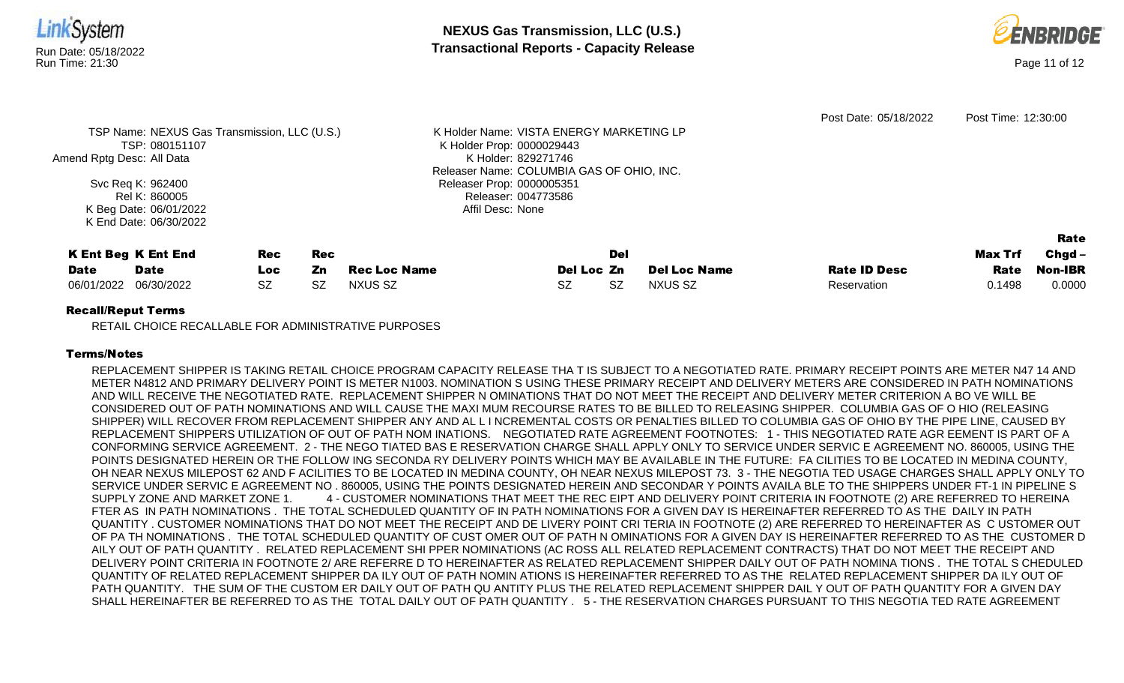

Amend Rptg Desc: All Data

Svc Req K: 962400 Rel K: 860005 K Beg Date: 06/01/2022 K End Date: 06/30/2022

TSP: 080151107

K Holder Prop: 0000029443 K Holder: 829271746 Releaser Name: COLUMBIA GAS OF OHIO, INC. Releaser Prop: 0000005351 Releaser: 004773586 Affil Desc: None

|                       | <b>K Ent Beg K Ent End</b> | <b>Rec</b> | Rec |              |            | Del |                     |                     | <b>Max Trf</b> | ------<br>Chgd – |
|-----------------------|----------------------------|------------|-----|--------------|------------|-----|---------------------|---------------------|----------------|------------------|
| <b>Date</b>           | <b>Date</b>                | Loc        | Zn. | Rec Loc Name | Del Loc Zn |     | <b>Del Loc Name</b> | <b>Rate ID Desc</b> | Rate           | <b>Non-IBR</b>   |
| 06/01/2022 06/30/2022 |                            | <b>SZ</b>  | SZ  | NXUS SZ      | SZ         |     | NXUS SZ             | Reservation         | 0.1498         | 0.0000           |

Rate

# Recall/Reput Terms

RETAIL CHOICE RECALLABLE FOR ADMINISTRATIVE PURPOSES

# Terms/Notes